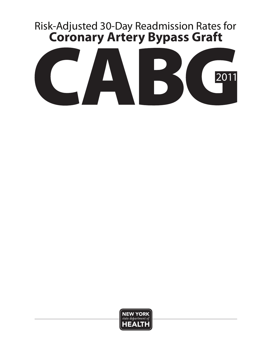# 1 Risk-Adjusted 30-Day Readmission Rates for **Coronary Artery Bypass Graft**



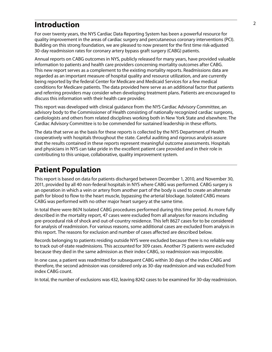#### <sup>2</sup>**Introduction**

For over twenty years, the NYS Cardiac Data Reporting System has been a powerful resource for quality improvement in the areas of cardiac surgery and percutaneous coronary interventions (PCI). Building on this strong foundation, we are pleased to now present for the first time risk-adjusted 30-day readmission rates for coronary artery bypass graft surgery (CABG) patients.

Annual reports on CABG outcomes in NYS, publicly released for many years, have provided valuable information to patients and health care providers concerning mortality outcomes after CABG. This new report serves as a complement to the existing mortality reports. Readmissions data are regarded as an important measure of hospital quality and resource utilization, and are currently being reported by the federal Center for Medicare and Medicaid Services for a few medical conditions for Medicare patients. The data provided here serve as an additional factor that patients and referring providers may consider when developing treatment plans. Patients are encouraged to discuss this information with their health care provider.

This report was developed with clinical guidance from the NYS Cardiac Advisory Committee, an advisory body to the Commissioner of Health consisting of nationally recognized cardiac surgeons, cardiologists and others from related disciplines working both in New York State and elsewhere. The Cardiac Advisory Committee is to be commended for sustained leadership in these efforts.

The data that serve as the basis for these reports is collected by the NYS Department of Health cooperatively with hospitals throughout the state. Careful auditing and rigorous analysis assure that the results contained in these reports represent meaningful outcome assessments. Hospitals and physicians in NYS can take pride in the excellent patient care provided and in their role in contributing to this unique, collaborative, quality improvement system.

#### **Patient Population**

This report is based on data for patients discharged between December 1, 2010, and November 30, 2011, provided by all 40 non-federal hospitals in NYS where CABG was performed. CABG surgery is an operation in which a vein or artery from another part of the body is used to create an alternate path for blood to flow to the heart muscle, bypassing the arterial blockage. Isolated CABG means CABG was performed with no other major heart surgery at the same time.

In total there were 8674 Isolated CABG procedures performed during this time period. As more fully described in the mortality report, 47 cases were excluded from all analyses for reasons including pre-procedural risk of shock and out-of-country residence. This left 8627 cases for to be considered for analysis of readmission. For various reasons, some additional cases are excluded from analysis in this report. The reasons for exclusion and number of cases affected are described below.

Records belonging to patients residing outside NYS were excluded because there is no reliable way to track out-of-state readmissions. This accounted for 309 cases. Another 75 patients were excluded because they died in the same admission as their index CABG, so readmission was impossible.

In one case, a patient was readmitted for subsequent CABG within 30 days of the index CABG and therefore, the second admission was considered only as 30-day readmission and was excluded from index CABG count.

In total, the number of exclusions was 432, leaving 8242 cases to be examined for 30-day readmission.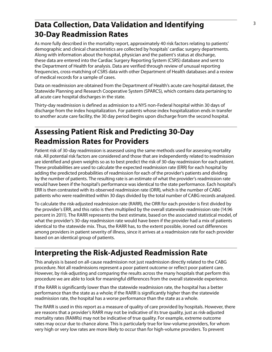# **Data Collection, Data Validation and Identifying** <sup>3</sup> **30-Day Readmission Rates**

As more fully described in the mortality report, approximately 40 risk factors relating to patients' demographic and clinical characteristics are collected by hospitals' cardiac surgery departments. Along with information about the hospital, physician and the patient's status at discharge, these data are entered into the Cardiac Surgery Reporting System (CSRS) database and sent to the Department of Health for analysis. Data are verified through review of unusual reporting frequencies, cross-matching of CSRS data with other Department of Health databases and a review of medical records for a sample of cases.

Data on readmission are obtained from the Department of Health's acute care hospital dataset, the Statewide Planning and Research Cooperative System (SPARCS), which contains data pertaining to all acute care hospital discharges in the state.

Thirty-day readmission is defined as admission to a NYS non-Federal hospital within 30 days of discharge from the index hospitalization. For patients whose index hospitalization ends in transfer to another acute care facility, the 30 day period begins upon discharge from the second hospital.

# **Assessing Patient Risk and Predicting 30-Day Readmission Rates for Providers**

Patient risk of 30-day readmission is assessed using the same methods used for assessing mortality risk. All potential risk factors are considered and those that are independently related to readmission are identified and given weights so as to best predict the risk of 30-day readmission for each patient. These probabilities are used to calculate the expected readmission rate (ERR) for each hospital by adding the predicted probabilities of readmission for each of the provider's patients and dividing by the number of patients. The resulting rate is an estimate of what the provider's readmission rate would have been if the hospital's performance was identical to the state performance. Each hospital's ERR is then contrasted with its observed readmission rate (ORR), which is the number of CABG patients who were readmitted within 30 days divided by the total number of CABG records analyzed.

To calculate the risk-adjusted readmission rate (RARR), the ORR for each provider is first divided by the provider's ERR, and this ratio is then multiplied by the overall statewide readmission rate (14.96 percent in 2011). The RARR represents the best estimate, based on the associated statistical model, of what the provider's 30-day readmission rate would have been if the provider had a mix of patients identical to the statewide mix. Thus, the RARR has, to the extent possible, ironed out differences among providers in patient severity of illness, since it arrives at a readmission rate for each provider based on an identical group of patients.

# **Interpreting the Risk-Adjusted Readmission Rate**

This analysis is based on all-cause readmission not just readmission directly related to the CABG procedure. Not all readmissions represent a poor patient outcome or reflect poor patient care. However, by risk-adjusting and comparing the results across the many hospitals that perform this procedure we are able to look for meaningful differences from the overall statewide experience.

If the RARR is significantly lower than the statewide readmission rate, the hospital has a better performance than the state as a whole; if the RARR is significantly higher than the statewide readmission rate, the hospital has a worse performance than the state as a whole.

The RARR is used in this report as a measure of quality of care provided by hospitals. However, there are reasons that a provider's RARR may not be indicative of its true quality, just as risk-adjusted mortality rates (RAMRs) may not be indicative of true quality. For example, extreme outcome rates may occur due to chance alone. This is particularly true for low-volume providers, for whom very high or very low rates are more likely to occur than for high-volume providers. To prevent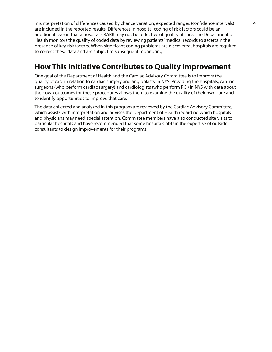misinterpretation of differences caused by chance variation, expected ranges (confidence intervals) 4 are included in the reported results. Differences in hospital coding of risk factors could be an additional reason that a hospital's RARR may not be reflective of quality of care. The Department of Health monitors the quality of coded data by reviewing patients' medical records to ascertain the presence of key risk factors. When significant coding problems are discovered, hospitals are required to correct these data and are subject to subsequent monitoring.

### **How This Initiative Contributes to Quality Improvement**

One goal of the Department of Health and the Cardiac Advisory Committee is to improve the quality of care in relation to cardiac surgery and angioplasty in NYS. Providing the hospitals, cardiac surgeons (who perform cardiac surgery) and cardiologists (who perform PCI) in NYS with data about their own outcomes for these procedures allows them to examine the quality of their own care and to identify opportunities to improve that care.

The data collected and analyzed in this program are reviewed by the Cardiac Advisory Committee, which assists with interpretation and advises the Department of Health regarding which hospitals and physicians may need special attention. Committee members have also conducted site visits to particular hospitals and have recommended that some hospitals obtain the expertise of outside consultants to design improvements for their programs.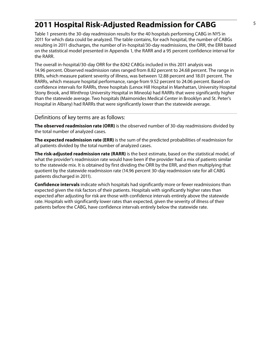### <sup>5</sup>**2011 Hospital Risk-Adjusted Readmission for CABG**

Table 1 presents the 30-day readmission results for the 40 hospitals performing CABG in NYS in 2011 for which data could be analyzed. The table contains, for each hospital, the number of CABGs resulting in 2011 discharges, the number of in-hospital/30-day readmissions, the ORR, the ERR based on the statistical model presented in Appendix 1, the RARR and a 95 percent confidence interval for the RARR.

The overall in-hospital/30-day ORR for the 8242 CABGs included in this 2011 analysis was 14.96 percent. Observed readmission rates ranged from 8.82 percent to 24.68 percent. The range in ERRs, which measure patient severity of illness, was between 12.88 percent and 18.01 percent. The RARRs, which measure hospital performance, range from 9.52 percent to 24.06 percent. Based on confidence intervals for RARRs, three hospitals (Lenox Hill Hospital in Manhattan, University Hospital Stony Brook, and Winthrop University Hospital in Mineola) had RARRs that were significantly higher than the statewide average. Two hospitals (Maimonides Medical Center in Brooklyn and St. Peter's Hospital in Albany) had RARRs that were significantly lower than the statewide average.

#### Definitions of key terms are as follows:

**The observed readmission rate (ORR)** is the observed number of 30-day readmissions divided by the total number of analyzed cases.

**The expected readmission rate (ERR)** is the sum of the predicted probabilities of readmission for all patients divided by the total number of analyzed cases.

**The risk-adjusted readmission rate (RARR)** is the best estimate, based on the statistical model, of what the provider's readmission rate would have been if the provider had a mix of patients similar to the statewide mix. It is obtained by first dividing the ORR by the ERR, and then multiplying that quotient by the statewide readmission rate (14.96 percent 30-day readmission rate for all CABG patients discharged in 2011).

**Confidence intervals** indicate which hospitals had significantly more or fewer readmissions than expected given the risk factors of their patients. Hospitals with significantly higher rates than expected after adjusting for risk are those with confidence intervals entirely above the statewide rate. Hospitals with significantly lower rates than expected, given the severity of illness of their patients before the CABG, have confidence intervals entirely below the statewide rate.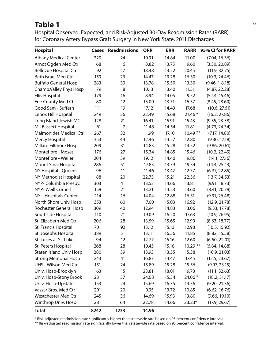# Table 1 and 1 and 1 and 1 and 1 and 1 and 1 and 1 and 1 and 1 and 1 and 1 and 1 and 1 and 1 and 1 and 1 and 1 and 1 and 1 and 1 and 1 and 1 and 1 and 1 and 1 and 1 and 1 and 1 and 1 and 1 and 1 and 1 and 1 and 1 and 1 and

Hospital Observed, Expected, and Risk-Adjusted 30-Day Readmission Rates (RARR) for Coronary Artery Bypass Graft Surgery in New York State, 2011 Discharges

| <b>Hospital</b>                | Cases | <b>Readmissions</b> | <b>ORR</b> | <b>ERR</b> | <b>RARR</b> | 95% CI for RARR |
|--------------------------------|-------|---------------------|------------|------------|-------------|-----------------|
| <b>Albany Medical Center</b>   | 220   | 24                  | 10.91      | 14.84      | 11.00       | (7.04, 16.36)   |
| Arnot Ogden Med Ctr            | 68    | 6                   | 8.82       | 13.75      | 9.60        | (3.50, 20.89)   |
| <b>Bellevue Hospital Ctr</b>   | 92    | 17                  | 18.48      | 13.52      | 20.45       | (11.9, 32.75)   |
| Beth Israel Med Ctr            | 159   | 23                  | 14.47      | 13.28      | 16.30       | (10.3, 24.46)   |
| <b>Buffalo General Hosp</b>    | 283   | 39                  | 13.78      | 15.50      | 13.30       | (9.46, 18.18)   |
| Champ. Valley Phys Hosp        | 79    | 8                   | 10.13      | 13.40      | 11.31       | (4.87, 22.28)   |
| <b>Ellis Hospital</b>          | 179   | 16                  | 8.94       | 14.05      | 9.52        | (5.44, 15.46)   |
| Erie County Med Ctr            | 80    | 12                  | 15.00      | 13.71      | 16.37       | (8.45, 28.60)   |
| Good Sam - Suffern             | 111   | 19                  | 17.12      | 14.49      | 17.68       | (10.6, 27.61)   |
| Lenox Hill Hospital            | 249   | 56                  | 22.49      | 15.68      | $21.46*$    | (16.2, 27.86)   |
| Long Island Jewish MC          | 128   | 21                  | 16.41      | 15.91      | 15.43       | (9.55, 23.58)   |
| M I Bassett Hospital           | 61    | $\overline{7}$      | 11.48      | 14.54      | 11.81       | (4.73, 24.34)   |
| <b>Maimonides Medical Ctr</b>  | 267   | 32                  | 11.99      | 17.10      | $10.49**$   | (7.17, 14.80)   |
| Mercy Hospital                 | 353   | 44                  | 12.46      | 14.57      | 12.80       | (9.30, 17.18)   |
| <b>Millard Fillmore Hosp</b>   | 209   | 31                  | 14.83      | 15.28      | 14.52       | (9.86, 20.61)   |
| <b>Montefiore - Moses</b>      | 176   | 27                  | 15.34      | 14.85      | 15.46       | (10.2, 22.49)   |
| Montefiore - Weiler            | 204   | 39                  | 19.12      | 14.40      | 19.86       | (14.1, 27.16)   |
| Mount Sinai Hospital           | 286   | 51                  | 17.83      | 13.79      | 19.34       | (14.4, 25.43)   |
| NY Hospital - Queens           | 96    | 11                  | 11.46      | 13.42      | 12.77       | (6.37, 22.85)   |
| NY Methodist Hospital          | 88    | 20                  | 22.73      | 15.21      | 22.36       | (13.7, 34.53)   |
| NYP- Columbia Presby.          | 303   | 41                  | 13.53      | 14.66      | 13.81       | (9.91, 18.73)   |
| NYP- Weill Cornell             | 159   | 21                  | 13.21      | 14.53      | 13.60       | (8.41, 20.79)   |
| <b>NYU Hospitals Center</b>    | 114   | 16                  | 14.04      | 12.88      | 16.31       | (9.31, 26.48)   |
| North Shore Univ Hosp          | 353   | 60                  | 17.00      | 15.03      | 16.92       | (12.9, 21.78)   |
| Rochester General Hosp         | 309   | 40                  | 12.94      | 14.83      | 13.06       | (9.33, 17.78)   |
| Southside Hospital             | 110   | 21                  | 19.09      | 16.20      | 17.63       | (10.9, 26.95)   |
| St. Elizabeth Med Ctr          | 206   | 28                  | 13.59      | 15.65      | 12.99       | (8.63, 18.77)   |
| St. Francis Hospital           | 701   | 92                  | 13.12      | 15.13      | 12.98       | (10.5, 15.92)   |
| St. Josephs Hospital           | 389   | 51                  | 13.11      | 16.56      | 11.85       | (8.82, 15.58)   |
| St. Lukes at St. Lukes         | 94    | 12                  | 12.77      | 15.16      | 12.60       | (6.50, 22.01)   |
| St. Peters Hospital            | 268   | 28                  | 10.45      | 15.18      | $10.29**$   | (6.84, 14.88)   |
| <b>Staten Island Univ Hosp</b> | 280   | 39                  | 13.93      | 13.55      | 15.38       | (10.9, 21.03)   |
| <b>Strong Memorial Hosp</b>    | 243   | 41                  | 16.87      | 14.47      | 17.45       | (12.5, 23.67)   |
| <b>UHS - Wilson Med Ctr</b>    | 151   | 24                  | 15.89      | 15.28      | 15.56       | (9.97, 23.15)   |
| Univ. Hosp-Brooklyn            | 63    | 15                  | 23.81      | 18.01      | 19.78       | (11.1, 32.63)   |
| Univ. Hosp-Stony Brook         | 231   | 57                  | 24.68      | 15.34      | 24.06 *     | (18.2, 31.17)   |
| Univ. Hosp-Upstate             | 153   | 24                  | 15.69      | 16.35      | 14.36       | (9.20, 21.36)   |
| Vassar Bros. Med Ctr           | 201   | 20                  | 9.95       | 13.72      | 10.85       | (6.62, 16.76)   |
| Westchester Med Ctr            | 245   | 36                  | 14.69      | 15.93      | 13.80       | (9.66, 19.10)   |
| Winthrop Univ. Hosp            | 281   | 64                  | 22.78      | 14.66      | $23.23*$    | (17.9, 29.67)   |
| <b>Total</b>                   | 8242  | 1233                | 14.96      |            |             |                 |

\* Risk-adjusted readmission rate significantly higher than statewide rate based on 95 percent confidence interval.

\*\* Risk-adjusted readmission rate significantly lower than statewide rate based on 95 percent confidence interval.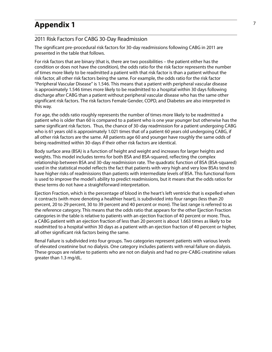#### **Appendix 1** <sup>7</sup>

#### 2011 Risk Factors For CABG 30-Day Readmission

The significant pre-procedural risk factors for 30-day readmissions following CABG in 2011 are presented in the table that follows.

For risk factors that are binary (that is, there are two possibilities – the patient either has the condition or does not have the condition), the odds ratio for the risk factor represents the number of times more likely to be readmitted a patient with that risk factor is than a patient without the risk factor, all other risk factors being the same. For example, the odds ratio for the risk factor "Peripheral Vascular Disease" is 1.546. This means that a patient with peripheral vascular disease is approximately 1.546 times more likely to be readmitted to a hospital within 30 days following discharge after CABG than a patient without peripheral vascular disease who has the same other significant risk factors. The risk factors Female Gender, COPD, and Diabetes are also interpreted in this way.

For age, the odds ratio roughly represents the number of times more likely to be readmitted a patient who is older than 60 is compared to a patient who is one year younger but otherwise has the same significant risk factors. Thus, the chance of 30-day readmission for a patient undergoing CABG who is 61 years old is approximately 1.021 times that of a patient 60 years old undergoing CABG, if all other risk factors are the same. All patients age 60 and younger have roughly the same odds of being readmitted within 30-days if their other risk factors are identical.

Body surface area (BSA) is a function of height and weight and increases for larger heights and weights. This model includes terms for both BSA and BSA-squared, reflecting the complex relationship between BSA and 30-day readmission rate. The quadratic function of BSA (BSA-squared) used in the statistical model reflects the fact that patients with very high and very low BSAs tend to have higher risks of readmissions than patients with intermediate levels of BSA. This functional form is used to improve the model's ability to predict readmissions, but it means that the odds ratios for these terms do not have a straightforward interpretation.

Ejection Fraction, which is the percentage of blood in the heart's left ventricle that is expelled when it contracts (with more denoting a healthier heart), is subdivided into four ranges (less than 20 percent, 20 to 29 percent, 30 to 39 percent and 40 percent or more). The last range is referred to as the reference category. This means that the odds ratio that appears for the other Ejection Fraction categories in the table is relative to patients with an ejection fraction of 40 percent or more. Thus, a CABG patient with an ejection fraction of less than 20 percent is about 1.663 times as likely to be readmitted to a hospital within 30 days as a patient with an ejection fraction of 40 percent or higher, all other significant risk factors being the same.

Renal Failure is subdivided into four groups. Two categories represent patients with various levels of elevated creatinine but no dialysis. One category includes patients with renal failure on dialysis. These groups are relative to patients who are not on dialysis and had no pre-CABG creatinine values greater than 1.3 mg/dL.